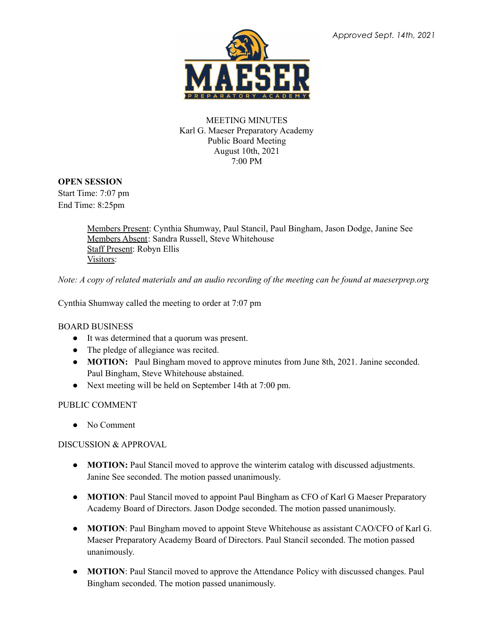

## MEETING MINUTES Karl G. Maeser Preparatory Academy Public Board Meeting August 10th, 2021 7:00 PM

# **OPEN SESSION**

Start Time: 7:07 pm End Time: 8:25pm

> Members Present: Cynthia Shumway, Paul Stancil, Paul Bingham, Jason Dodge, Janine See Members Absent: Sandra Russell, Steve Whitehouse Staff Present: Robyn Ellis Visitors:

Note: A copy of related materials and an audio recording of the meeting can be found at maeserprep.org

Cynthia Shumway called the meeting to order at 7:07 pm

### BOARD BUSINESS

- It was determined that a quorum was present.
- The pledge of allegiance was recited.
- **MOTION:** Paul Bingham moved to approve minutes from June 8th, 2021. Janine seconded. Paul Bingham, Steve Whitehouse abstained.
- Next meeting will be held on September 14th at 7:00 pm.

### PUBLIC COMMENT

● No Comment

### DISCUSSION & APPROVAL

- **MOTION:** Paul Stancil moved to approve the winterim catalog with discussed adjustments. Janine See seconded. The motion passed unanimously.
- **MOTION**: Paul Stancil moved to appoint Paul Bingham as CFO of Karl G Maeser Preparatory Academy Board of Directors. Jason Dodge seconded. The motion passed unanimously.
- **MOTION**: Paul Bingham moved to appoint Steve Whitehouse as assistant CAO/CFO of Karl G. Maeser Preparatory Academy Board of Directors. Paul Stancil seconded. The motion passed unanimously.
- **MOTION**: Paul Stancil moved to approve the Attendance Policy with discussed changes. Paul Bingham seconded. The motion passed unanimously.